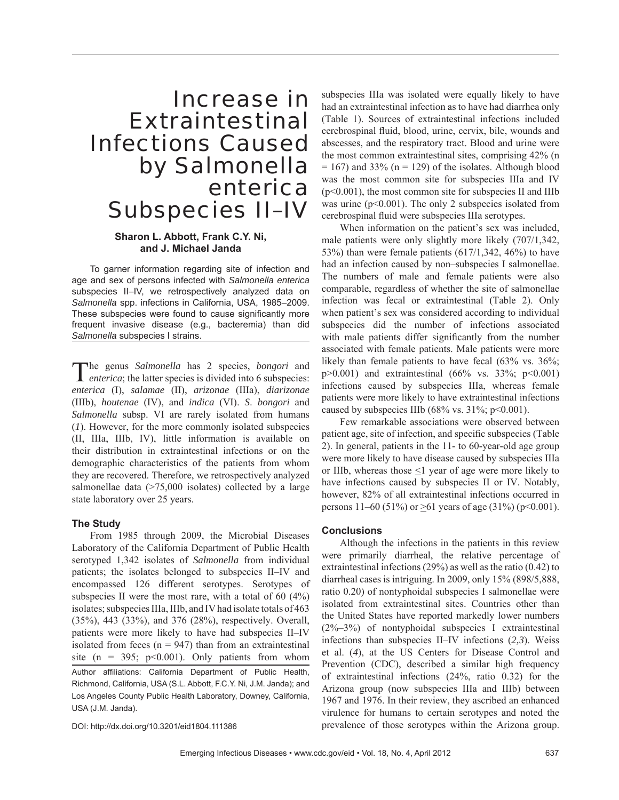## Increase in Extraintestinal Infections Caused by *Salmonella enterica* Subspecies II–IV

### **Sharon L. Abbott, Frank C.Y. Ni, and J. Michael Janda**

To garner information regarding site of infection and age and sex of persons infected with *Salmonella enterica* subspecies II–IV, we retrospectively analyzed data on *Salmonella* spp. infections in California, USA, 1985–2009. These subspecies were found to cause significantly more frequent invasive disease (e.g., bacteremia) than did *Salmonella* subspecies I strains.

The genus *Salmonella* has 2 species, *bongori* and *enterica*; the latter species is divided into 6 subspecies: *enterica* (I), *salamae* (II), *arizonae* (IIIa), *diarizonae* (IIIb), *houtenae* (IV), and *indica* (VI). *S*. *bongori* and *Salmonella* subsp. VI are rarely isolated from humans (*1*). However, for the more commonly isolated subspecies (II, IIIa, IIIb, IV), little information is available on their distribution in extraintestinal infections or on the demographic characteristics of the patients from whom they are recovered. Therefore, we retrospectively analyzed salmonellae data (>75,000 isolates) collected by a large state laboratory over 25 years.

#### **The Study**

From 1985 through 2009, the Microbial Diseases Laboratory of the California Department of Public Health serotyped 1,342 isolates of *Salmonella* from individual patients; the isolates belonged to subspecies II–IV and encompassed 126 different serotypes. Serotypes of subspecies II were the most rare, with a total of 60 (4%) isolates; subspecies IIIa, IIIb, and IV had isolate totals of 463 (35%), 443 (33%), and 376 (28%), respectively. Overall, patients were more likely to have had subspecies II–IV isolated from feces  $(n = 947)$  than from an extraintestinal site (n = 395;  $p<0.001$ ). Only patients from whom Author affiliations: California Department of Public Health, Richmond, California, USA (S.L. Abbott, F.C.Y. Ni, J.M. Janda); and Los Angeles County Public Health Laboratory, Downey, California, USA (J.M. Janda).

DOI: http://dx.doi.org/10.3201/eid1804.111386

subspecies IIIa was isolated were equally likely to have had an extraintestinal infection as to have had diarrhea only (Table 1). Sources of extraintestinal infections included cerebrospinal fluid, blood, urine, cervix, bile, wounds and abscesses, and the respiratory tract. Blood and urine were the most common extraintestinal sites, comprising 42% (n  $= 167$ ) and 33% (n  $= 129$ ) of the isolates. Although blood was the most common site for subspecies IIIa and IV  $(p<0.001)$ , the most common site for subspecies II and IIIb was urine  $(p<0.001)$ . The only 2 subspecies isolated from cerebrospinal fluid were subspecies IIIa serotypes.

When information on the patient's sex was included, male patients were only slightly more likely (707/1,342, 53%) than were female patients  $(617/1,342, 46%)$  to have had an infection caused by non–subspecies I salmonellae. The numbers of male and female patients were also comparable, regardless of whether the site of salmonellae infection was fecal or extraintestinal (Table 2). Only when patient's sex was considered according to individual subspecies did the number of infections associated with male patients differ significantly from the number associated with female patients. Male patients were more likely than female patients to have fecal (63% vs. 36%;  $p > 0.001$ ) and extraintestinal (66% vs. 33%;  $p < 0.001$ ) infections caused by subspecies IIIa, whereas female patients were more likely to have extraintestinal infections caused by subspecies IIIb (68% vs.  $31\%$ ; p<0.001).

Few remarkable associations were observed between patient age, site of infection, and specific subspecies (Table 2). In general, patients in the 11- to 60-year-old age group were more likely to have disease caused by subspecies IIIa or IIIb, whereas those  $\leq$ 1 year of age were more likely to have infections caused by subspecies II or IV. Notably, however, 82% of all extraintestinal infections occurred in persons 11–60 (51%) or >61 years of age (31%) (p<0.001).

#### **Conclusions**

Although the infections in the patients in this review were primarily diarrheal, the relative percentage of extraintestinal infections (29%) as well as the ratio (0.42) to diarrheal cases is intriguing. In 2009, only 15% (898/5,888, ratio 0.20) of nontyphoidal subspecies I salmonellae were isolated from extraintestinal sites. Countries other than the United States have reported markedly lower numbers (2%–3%) of nontyphoidal subspecies I extraintestinal infections than subspecies II–IV infections (*2,3*). Weiss et al. (*4*), at the US Centers for Disease Control and Prevention (CDC), described a similar high frequency of extraintestinal infections (24%, ratio 0.32) for the Arizona group (now subspecies IIIa and IIIb) between 1967 and 1976. In their review, they ascribed an enhanced virulence for humans to certain serotypes and noted the prevalence of those serotypes within the Arizona group.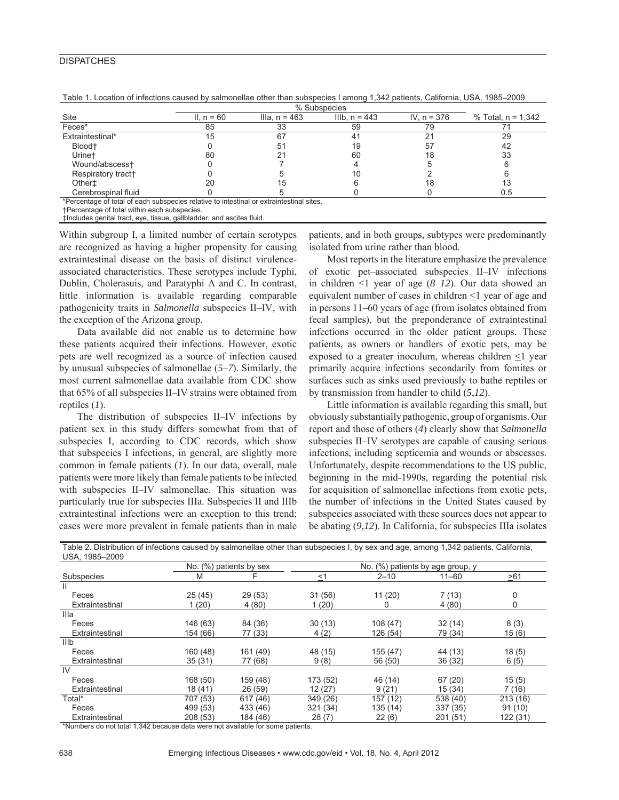#### **DISPATCHES**

| Site                                                                                     | II. $n = 60$ | Illa, $n = 463$ | IIIb, $n = 443$ | IV, $n = 376$ | % Total, $n = 1,342$ |  |  |  |
|------------------------------------------------------------------------------------------|--------------|-----------------|-----------------|---------------|----------------------|--|--|--|
| Feces*                                                                                   | 85           | 33              | 59              | 79            |                      |  |  |  |
| Extraintestinal*                                                                         | 15           | 67              |                 | 21            | 29                   |  |  |  |
| Blood <sup>+</sup>                                                                       |              | 51              | 19              | 57            | 42                   |  |  |  |
| Urine <sup>+</sup>                                                                       | 80           |                 | 60              |               | 33                   |  |  |  |
| Wound/abscess+                                                                           |              |                 |                 |               |                      |  |  |  |
| Respiratory tract+                                                                       |              |                 | 10              |               |                      |  |  |  |
| Othert                                                                                   |              |                 |                 |               | 13                   |  |  |  |
| Cerebrospinal fluid                                                                      |              |                 |                 |               | 0.5                  |  |  |  |
| *Percentage of total of each subspecies relative to intestinal or extraintestinal sites. |              |                 |                 |               |                      |  |  |  |

Table 1. Location of infections caused by salmonellae other than subspecies I among 1,342 patients, California, USA, 1985–2009

†Percentage of total within each subspecies.

‡Includes genital tract, eye, tissue, gallbladder, and ascites fluid.

Within subgroup I, a limited number of certain serotypes are recognized as having a higher propensity for causing extraintestinal disease on the basis of distinct virulenceassociated characteristics. These serotypes include Typhi, Dublin, Cholerasuis, and Paratyphi A and C. In contrast, little information is available regarding comparable pathogenicity traits in *Salmonella* subspecies II–IV, with the exception of the Arizona group.

Data available did not enable us to determine how these patients acquired their infections. However, exotic pets are well recognized as a source of infection caused by unusual subspecies of salmonellae (*5*–*7*). Similarly, the most current salmonellae data available from CDC show that 65% of all subspecies II–IV strains were obtained from reptiles (*1*).

The distribution of subspecies II–IV infections by patient sex in this study differs somewhat from that of subspecies I, according to CDC records, which show that subspecies I infections, in general, are slightly more common in female patients (*1*). In our data, overall, male patients were more likely than female patients to be infected with subspecies II–IV salmonellae. This situation was particularly true for subspecies IIIa. Subspecies II and IIIb extraintestinal infections were an exception to this trend; cases were more prevalent in female patients than in male patients, and in both groups, subtypes were predominantly isolated from urine rather than blood.

Most reports in the literature emphasize the prevalence of exotic pet–associated subspecies II–IV infections in children <1 year of age (*8*–*12*). Our data showed an equivalent number of cases in children  $\leq 1$  year of age and in persons 11–60 years of age (from isolates obtained from fecal samples), but the preponderance of extraintestinal infections occurred in the older patient groups. These patients, as owners or handlers of exotic pets, may be exposed to a greater inoculum, whereas children  $\leq 1$  year primarily acquire infections secondarily from fomites or surfaces such as sinks used previously to bathe reptiles or by transmission from handler to child (*5*,*12*).

Little information is available regarding this small, but obviously substantially pathogenic, group of organisms. Our report and those of others (*4*) clearly show that *Salmonella* subspecies II–IV serotypes are capable of causing serious infections, including septicemia and wounds or abscesses. Unfortunately, despite recommendations to the US public, beginning in the mid-1990s, regarding the potential risk for acquisition of salmonellae infections from exotic pets, the number of infections in the United States caused by subspecies associated with these sources does not appear to be abating (*9*,*12*). In California, for subspecies IIIa isolates

| USA, 1985-2009  |          |                         |          |                                  |           |           |  |  |
|-----------------|----------|-------------------------|----------|----------------------------------|-----------|-----------|--|--|
|                 |          | No. (%) patients by sex |          | No. (%) patients by age group, y |           |           |  |  |
| Subspecies      | M        |                         | $\leq$ 1 | $2 - 10$                         | $11 - 60$ | $\geq 61$ |  |  |
| $\mathbf{H}$    |          |                         |          |                                  |           |           |  |  |
| Feces           | 25(45)   | 29(53)                  | 31 (56)  | 11(20)                           | 7(13)     | 0         |  |  |
| Extraintestinal | 1(20)    | 4(80)                   | 1(20)    | 0                                | 4(80)     | 0         |  |  |
| Illa            |          |                         |          |                                  |           |           |  |  |
| Feces           | 146 (63) | 84 (36)                 | 30(13)   | 108(47)                          | 32(14)    | 8(3)      |  |  |
| Extraintestinal | 154 (66) | 77 (33)                 | 4(2)     | 126 (54)                         | 79 (34)   | 15(6)     |  |  |
| <b>IIIb</b>     |          |                         |          |                                  |           |           |  |  |
| Feces           | 160 (48) | 161 (49)                | 48 (15)  | 155 (47)                         | 44 (13)   | 18(5)     |  |  |
| Extraintestinal | 35 (31)  | 77 (68)                 | 9(8)     | 56 (50)                          | 36 (32)   | 6(5)      |  |  |
| IV              |          |                         |          |                                  |           |           |  |  |
| Feces           | 168 (50) | 159 (48)                | 173 (52) | 46 (14)                          | 67(20)    | 15(5)     |  |  |
| Extraintestinal | 18 (41)  | 26 (59)                 | 12(27)   | 9(21)                            | 15(34)    | 7(16)     |  |  |
| Total*          | 707 (53) | 617 (46)                | 349 (26) | 157 (12)                         | 538 (40)  | 213(16)   |  |  |
| Feces           | 499 (53) | 433 (46)                | 321 (34) | 135 (14)                         | 337 (35)  | 91(10)    |  |  |
| Extraintestinal | 208(53)  | 184 (46)                | 28(7)    | 22(6)                            | 201 (51)  | 122 (31)  |  |  |

Table 2. Distribution of infections caused by salmonellae other than subspecies I, by sex and age, among 1,342 patients, California,

\*Numbers do not total 1,342 because data were not available for some patients.